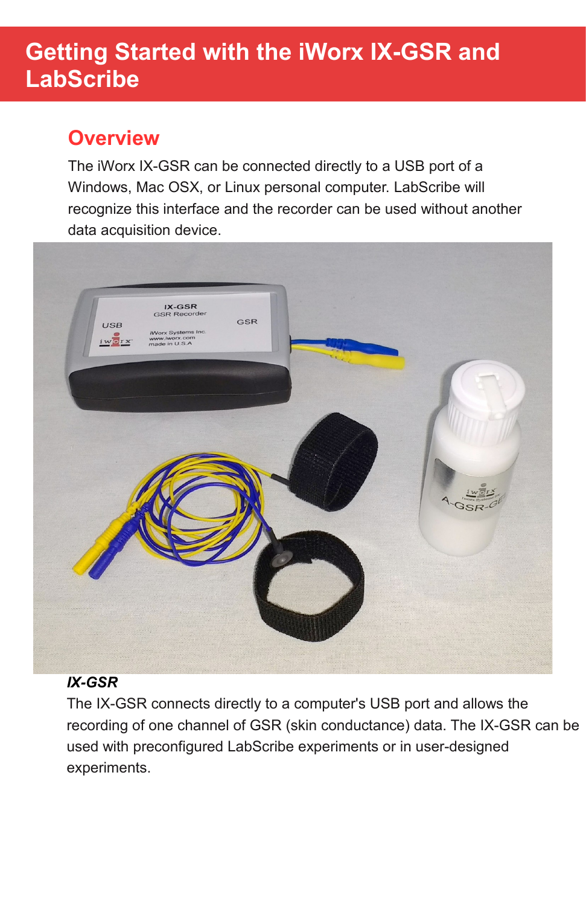# **Getting Started with the iWorx IX-GSR and LabScribe**

## **Overview**

The iWorx IX-GSR can be connected directly to a USB port of a Windows, Mac OSX, or Linux personal computer. LabScribe will recognize this interface and the recorder can be used without another data acquisition device.



#### *IX-GSR*

The IX-GSR connects directly to a computer's USB port and allows the recording of one channel of GSR (skin conductance) data. The IX-GSR can be used with preconfigured LabScribe experiments or in user-designed experiments.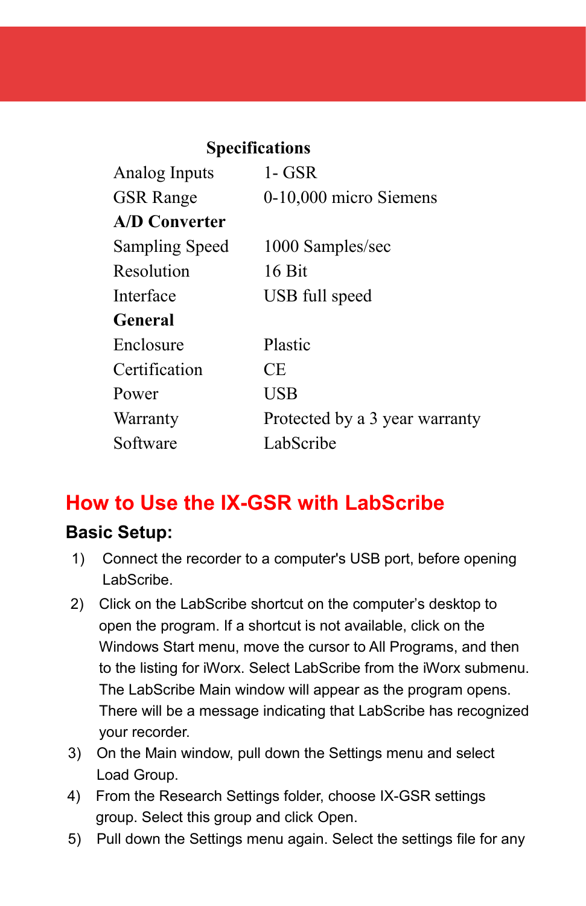| <b>Specifications</b>          |  |
|--------------------------------|--|
| $1 - GSR$                      |  |
| 0-10,000 micro Siemens         |  |
|                                |  |
| 1000 Samples/sec               |  |
| 16 Bit                         |  |
| USB full speed                 |  |
|                                |  |
| Plastic                        |  |
| CE                             |  |
| <b>USB</b>                     |  |
| Protected by a 3 year warranty |  |
| LabScribe                      |  |
|                                |  |

# **How to Use the IX-GSR with LabScribe**

### **Basic Setup:**

- 1) Connect the recorder to a computer's USB port, before opening LabScribe.
- 2) Click on the LabScribe shortcut on the computer's desktop to open the program. If a shortcut is not available, click on the Windows Start menu, move the cursor to All Programs, and then to the listing for iWorx. Select LabScribe from the iWorx submenu. The LabScribe Main window will appear as the program opens. There will be a message indicating that LabScribe has recognized your recorder.
- 3) On the Main window, pull down the Settings menu and select Load Group.
- 4) From the Research Settings folder, choose IX-GSR settings group. Select this group and click Open.
- 5) Pull down the Settings menu again. Select the settings file for any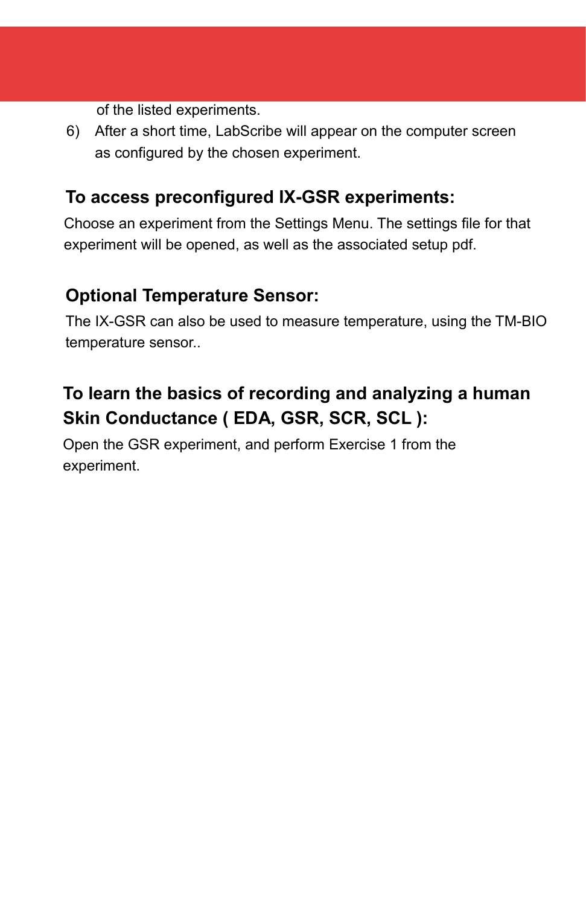of the listed experiments.

6) After a short time, LabScribe will appear on the computer screen as configured by the chosen experiment.

### **To access preconfigured IX-GSR experiments:**

Choose an experiment from the Settings Menu. The settings file for that experiment will be opened, as well as the associated setup pdf.

## **Optional Temperature Sensor:**

The IX-GSR can also be used to measure temperature, using the TM-BIO temperature sensor..

## **To learn the basics of recording and analyzing a human Skin Conductance ( EDA, GSR, SCR, SCL ):**

Open the GSR experiment, and perform Exercise 1 from the experiment.